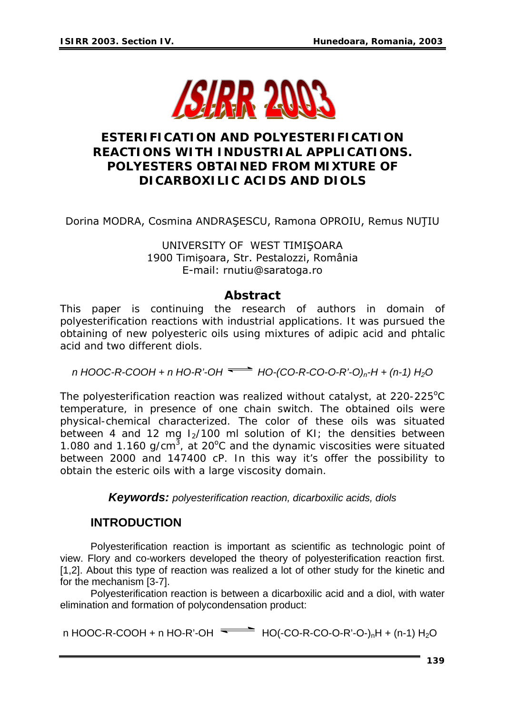

# **ESTERIFICATION AND POLYESTERIFICATION REACTIONS WITH INDUSTRIAL APPLICATIONS. POLYESTERS OBTAINED FROM MIXTURE OF DICARBOXILIC ACIDS AND DIOLS**

Dorina MODRA, Cosmina ANDRAŞESCU, Ramona OPROIU, Remus NUŢIU

UNIVERSITY OF WEST TIMIŞOARA 1900 Timişoara, Str. Pestalozzi, România E-mail: [rnutiu@saratoga.ro](mailto:rnutiu@saratoga.ro)

#### *Abstract*

*This paper is continuing the research of authors in domain of polyesterification reactions with industrial applications. It was pursued the obtaining of new polyesteric oils using mixtures of adipic acid and phtalic acid and two different diols.* 

*n HOOC-R-COOH + n HO-R'-OH HO-(CO-R-CO-O-R'-O)n-H + (n-1) H2O* 

*The polyesterification reaction was realized without catalyst, at 220-225°C temperature, in presence of one chain switch. The obtained oils were physical-chemical characterized. The color of these oils was situated between 4 and 12 mg I2/100 ml solution of KI; the densities between*  1.080 and 1.160 g/cm<sup>3</sup>, at 20°C and the dynamic viscosities were situated *between 2000 and 147400 cP. In this way it's offer the possibility to obtain the esteric oils with a large viscosity domain.* 

*Keywords: polyesterification reaction, dicarboxilic acids, diols*

### **INTRODUCTION**

Polyesterification reaction is important as scientific as technologic point of view. Flory and co-workers developed the theory of polyesterification reaction first. [1,2]. About this type of reaction was realized a lot of other study for the kinetic and for the mechanism [3-7].

 Polyesterification reaction is between a dicarboxilic acid and a diol, with water elimination and formation of polycondensation product:

n HOOC-R-COOH + n HO-R'-OH  $\overline{\phantom{1}}$  HO(-CO-R-CO-O-R'-O-)<sub>n</sub>H + (n-1) H<sub>2</sub>O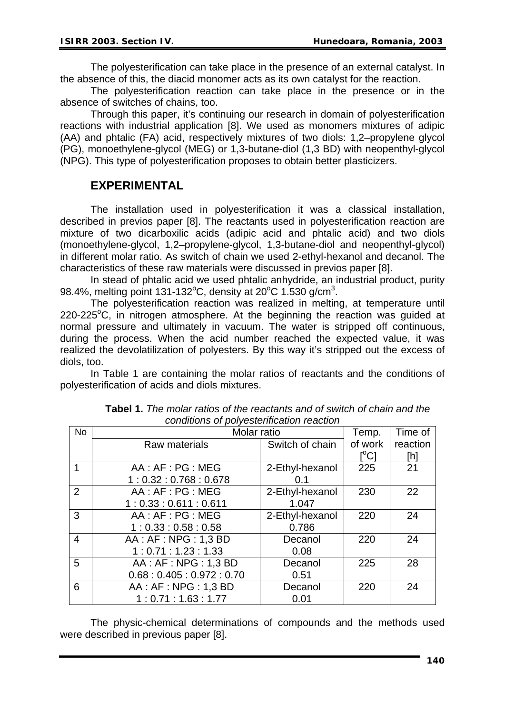The polyesterification can take place in the presence of an external catalyst. In the absence of this, the diacid monomer acts as its own catalyst for the reaction.

The polyesterification reaction can take place in the presence or in the absence of switches of chains, too.

Through this paper, it's continuing our research in domain of polyesterification reactions with industrial application [8]. We used as monomers mixtures of adipic (AA) and phtalic (FA) acid, respectively mixtures of two diols: 1,2–propylene glycol (PG), monoethylene-glycol (MEG) or 1,3-butane-diol (1,3 BD) with neopenthyl-glycol (NPG). This type of polyesterification proposes to obtain better plasticizers.

## **EXPERIMENTAL**

The installation used in polyesterification it was a classical installation, described in previos paper [8]. The reactants used in polyesterification reaction are mixture of two dicarboxilic acids (adipic acid and phtalic acid) and two diols (monoethylene-glycol, 1,2–propylene-glycol, 1,3-butane-diol and neopenthyl-glycol) in different molar ratio. As switch of chain we used 2-ethyl-hexanol and decanol. The characteristics of these raw materials were discussed in previos paper [8].

In stead of phtalic acid we used phtalic anhydride, an industrial product, purity 98.4%, melting point 131-132 °C, density at 20 °C 1.530 g/cm<sup>3</sup>.

The polyesterification reaction was realized in melting, at temperature until  $220 - 225$ °C, in nitrogen atmosphere. At the beginning the reaction was guided at normal pressure and ultimately in vacuum. The water is stripped off continuous, during the process. When the acid number reached the expected value, it was realized the devolatilization of polyesters. By this way it's stripped out the excess of diols, too.

In Table 1 are containing the molar ratios of reactants and the conditions of polyesterification of acids and diols mixtures.

| <b>No</b>      | Molar ratio            | Temp.           | Time of |          |
|----------------|------------------------|-----------------|---------|----------|
|                | Raw materials          | Switch of chain | of work | reaction |
|                |                        |                 | [°C]    | [h]      |
|                | AA: AF: PG: MEG        | 2-Ethyl-hexanol | 225     | 21       |
|                | 1:0.32:0.768:0.678     | 0.1             |         |          |
| $\overline{2}$ | AA: AF: PG: MEG        | 2-Ethyl-hexanol | 230     | 22       |
|                | 1:0.33:0.611:0.611     | 1.047           |         |          |
| 3              | AA:AF:PG:MEG           | 2-Ethyl-hexanol | 220     | 24       |
|                | 1:0.33:0.58:0.58       | 0.786           |         |          |
| 4              | AA : AF : NPG : 1,3 BD | Decanol         | 220     | 24       |
|                | 1:0.71:1.23:1.33       | 0.08            |         |          |
| 5              | AA : AF : NPG : 1,3 BD | Decanol         | 225     | 28       |
|                | 0.68:0.405:0.972:0.70  | 0.51            |         |          |
| 6              | AA : AF : NPG : 1,3 BD | Decanol         | 220     | 24       |
|                | 1:0.71:1.63:1.77       | 0.01            |         |          |

**Tabel 1.** *The molar ratios of the reactants and of switch of chain and the conditions of polyesterification reaction* 

The physic-chemical determinations of compounds and the methods used were described in previous paper [8].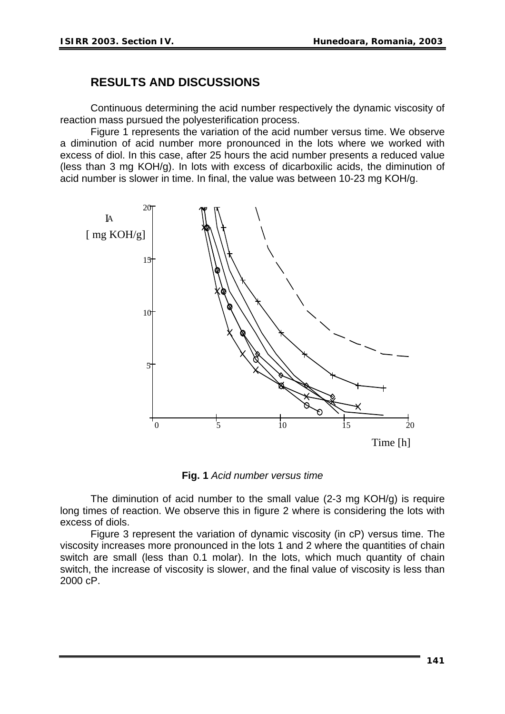### **RESULTS AND DISCUSSIONS**

Continuous determining the acid number respectively the dynamic viscosity of reaction mass pursued the polyesterification process.

Figure 1 represents the variation of the acid number versus time. We observe a diminution of acid number more pronounced in the lots where we worked with excess of diol. In this case, after 25 hours the acid number presents a reduced value (less than 3 mg KOH/g). In lots with excess of dicarboxilic acids, the diminution of acid number is slower in time. In final, the value was between 10-23 mg KOH/g.



**Fig. 1** *Acid number versus time*

The diminution of acid number to the small value (2-3 mg KOH/g) is require long times of reaction. We observe this in figure 2 where is considering the lots with excess of diols.

Figure 3 represent the variation of dynamic viscosity (in cP) versus time. The viscosity increases more pronounced in the lots 1 and 2 where the quantities of chain switch are small (less than 0.1 molar). In the lots, which much quantity of chain switch, the increase of viscosity is slower, and the final value of viscosity is less than 2000 cP.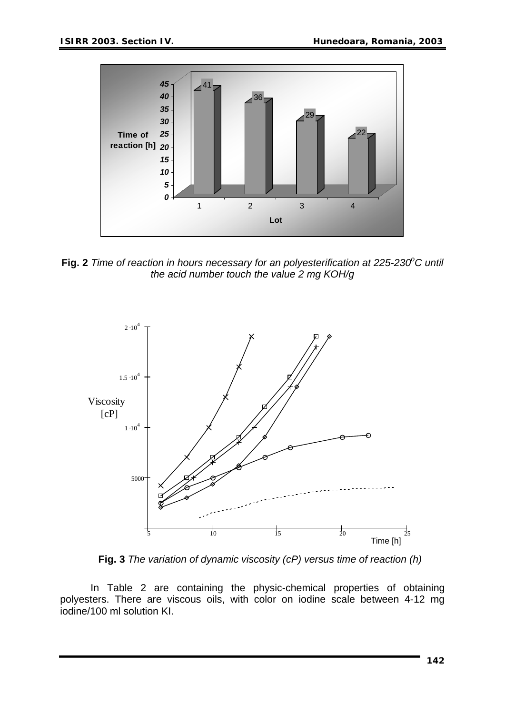

Fig. 2 Time of reaction in hours necessary for an polyesterification at 225-230°C until *the acid number touch the value 2 mg KOH/g* 



**Fig. 3** *The variation of dynamic viscosity (cP) versus time of reaction (h)* 

 In Table 2 are containing the physic-chemical properties of obtaining polyesters. There are viscous oils, with color on iodine scale between 4-12 mg iodine/100 ml solution KI.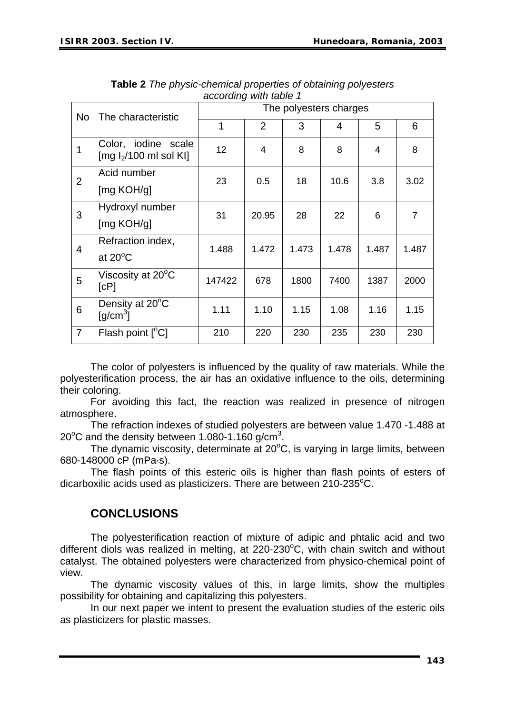| avvvrang marawiv r |                                                                |                        |                |       |       |       |       |  |  |  |
|--------------------|----------------------------------------------------------------|------------------------|----------------|-------|-------|-------|-------|--|--|--|
| <b>No</b>          | The characteristic                                             | The polyesters charges |                |       |       |       |       |  |  |  |
|                    |                                                                | 1                      | $\overline{2}$ | 3     | 4     | 5     | 6     |  |  |  |
| 1                  | Color, iodine scale<br>$\text{[mg I}_2/100 \text{ ml}$ sol KI] | 12 <sup>2</sup>        | 4              | 8     | 8     | 4     | 8     |  |  |  |
| $\overline{2}$     | Acid number                                                    | 23                     | 0.5            | 18    | 10.6  | 3.8   | 3.02  |  |  |  |
|                    | [mg KOH/g]                                                     |                        |                |       |       |       |       |  |  |  |
| 3                  | Hydroxyl number                                                | 31                     | 20.95          | 28    | 22    | 6     | 7     |  |  |  |
|                    | [mg KOH/g]                                                     |                        |                |       |       |       |       |  |  |  |
| $\overline{4}$     | Refraction index,                                              | 1.488                  | 1.472          | 1.473 | 1.478 | 1.487 | 1.487 |  |  |  |
|                    | at $20^{\circ}$ C                                              |                        |                |       |       |       |       |  |  |  |
| 5                  | Viscosity at 20°C<br>[CP]                                      | 147422                 | 678            | 1800  | 7400  | 1387  | 2000  |  |  |  |
| 6                  | Density at 20°C<br>$\lceil q/cm^3 \rceil$                      | 1.11                   | 1.10           | 1.15  | 1.08  | 1.16  | 1.15  |  |  |  |
| $\overline{7}$     | Flash point [°C]                                               | 210                    | 220            | 230   | 235   | 230   | 230   |  |  |  |

**Table 2** *The physic-chemical properties of obtaining polyesters according with table 1* 

The color of polyesters is influenced by the quality of raw materials. While the polyesterification process, the air has an oxidative influence to the oils, determining their coloring.

 For avoiding this fact, the reaction was realized in presence of nitrogen atmosphere.

The refraction indexes of studied polyesters are between value 1.470 -1.488 at 20 $^{\circ}$ C and the density between 1.080-1.160 g/cm<sup>3</sup>.

The dynamic viscosity, determinate at 20°C, is varying in large limits, between 680-148000 cP (mPa·s).

The flash points of this esteric oils is higher than flash points of esters of dicarboxilic acids used as plasticizers. There are between 210-235°C.

## **CONCLUSIONS**

The polyesterification reaction of mixture of adipic and phtalic acid and two different diols was realized in melting, at  $220-230^{\circ}$ C, with chain switch and without catalyst. The obtained polyesters were characterized from physico-chemical point of view.

The dynamic viscosity values of this, in large limits, show the multiples possibility for obtaining and capitalizing this polyesters.

 In our next paper we intent to present the evaluation studies of the esteric oils as plasticizers for plastic masses.